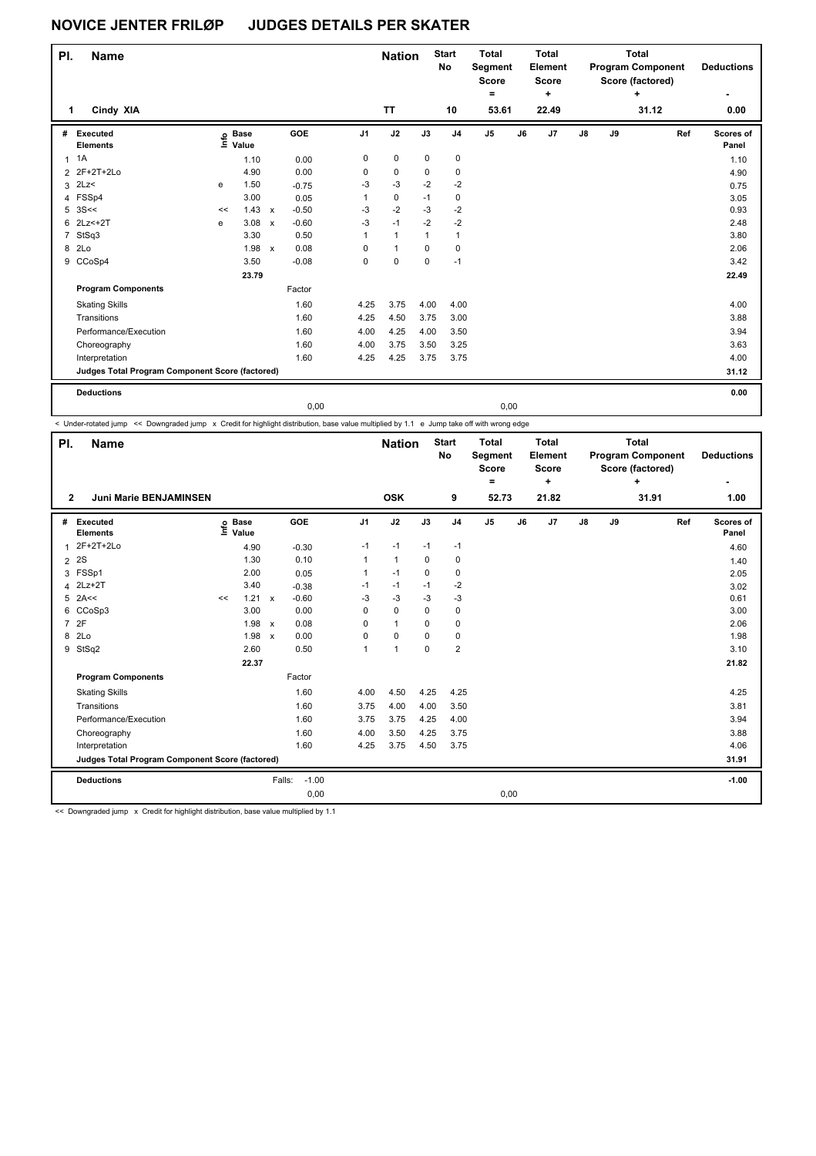| PI.            | <b>Name</b>                                     |    |                   |              |         |                | <b>Nation</b> |              | <b>Start</b><br>No | <b>Total</b><br>Segment<br><b>Score</b><br>۰ |      | <b>Total</b><br><b>Element</b><br><b>Score</b><br>÷ |    |    | <b>Total</b><br><b>Program Component</b><br>Score (factored)<br>÷ | <b>Deductions</b><br>٠ |
|----------------|-------------------------------------------------|----|-------------------|--------------|---------|----------------|---------------|--------------|--------------------|----------------------------------------------|------|-----------------------------------------------------|----|----|-------------------------------------------------------------------|------------------------|
| 1              | Cindy XIA                                       |    |                   |              |         |                | <b>TT</b>     |              | 10                 | 53.61                                        |      | 22.49                                               |    |    | 31.12                                                             | 0.00                   |
| #              | Executed<br><b>Elements</b>                     |    | e Base<br>E Value |              | GOE     | J <sub>1</sub> | J2            | J3           | J <sub>4</sub>     | J5                                           | J6   | J7                                                  | J8 | J9 | Ref                                                               | Scores of<br>Panel     |
| $\mathbf{1}$   | 1A                                              |    | 1.10              |              | 0.00    | 0              | 0             | 0            | 0                  |                                              |      |                                                     |    |    |                                                                   | 1.10                   |
|                | 2 2F+2T+2Lo                                     |    | 4.90              |              | 0.00    | 0              | 0             | 0            | 0                  |                                              |      |                                                     |    |    |                                                                   | 4.90                   |
|                | $3$ 2Lz<                                        | e  | 1.50              |              | $-0.75$ | -3             | $-3$          | $-2$         | $-2$               |                                              |      |                                                     |    |    |                                                                   | 0.75                   |
|                | 4 FSSp4                                         |    | 3.00              |              | 0.05    | $\mathbf{1}$   | 0             | $-1$         | 0                  |                                              |      |                                                     |    |    |                                                                   | 3.05                   |
|                | $5 \, 3S <<$                                    | << | 1.43              | $\mathsf{x}$ | $-0.50$ | $-3$           | $-2$          | $-3$         | $-2$               |                                              |      |                                                     |    |    |                                                                   | 0.93                   |
|                | 6 2Lz <+ 2T                                     | e  | 3.08              | $\mathsf{x}$ | $-0.60$ | $-3$           | $-1$          | $-2$         | $-2$               |                                              |      |                                                     |    |    |                                                                   | 2.48                   |
| $\overline{7}$ | StSq3                                           |    | 3.30              |              | 0.50    | $\mathbf{1}$   | $\mathbf{1}$  | $\mathbf{1}$ | $\mathbf{1}$       |                                              |      |                                                     |    |    |                                                                   | 3.80                   |
| 8              | 2Lo                                             |    | 1.98              | $\mathsf{x}$ | 0.08    | 0              | $\mathbf{1}$  | $\mathbf 0$  | $\mathbf 0$        |                                              |      |                                                     |    |    |                                                                   | 2.06                   |
|                | 9 CCoSp4                                        |    | 3.50              |              | $-0.08$ | 0              | $\mathbf 0$   | 0            | $-1$               |                                              |      |                                                     |    |    |                                                                   | 3.42                   |
|                |                                                 |    | 23.79             |              |         |                |               |              |                    |                                              |      |                                                     |    |    |                                                                   | 22.49                  |
|                | <b>Program Components</b>                       |    |                   |              | Factor  |                |               |              |                    |                                              |      |                                                     |    |    |                                                                   |                        |
|                | <b>Skating Skills</b>                           |    |                   |              | 1.60    | 4.25           | 3.75          | 4.00         | 4.00               |                                              |      |                                                     |    |    |                                                                   | 4.00                   |
|                | Transitions                                     |    |                   |              | 1.60    | 4.25           | 4.50          | 3.75         | 3.00               |                                              |      |                                                     |    |    |                                                                   | 3.88                   |
|                | Performance/Execution                           |    |                   |              | 1.60    | 4.00           | 4.25          | 4.00         | 3.50               |                                              |      |                                                     |    |    |                                                                   | 3.94                   |
|                | Choreography                                    |    |                   |              | 1.60    | 4.00           | 3.75          | 3.50         | 3.25               |                                              |      |                                                     |    |    |                                                                   | 3.63                   |
|                | Interpretation                                  |    |                   |              | 1.60    | 4.25           | 4.25          | 3.75         | 3.75               |                                              |      |                                                     |    |    |                                                                   | 4.00                   |
|                | Judges Total Program Component Score (factored) |    |                   |              |         |                |               |              |                    |                                              |      |                                                     |    |    |                                                                   | 31.12                  |
|                | <b>Deductions</b>                               |    |                   |              |         |                |               |              |                    |                                              |      |                                                     |    |    |                                                                   | 0.00                   |
|                |                                                 |    |                   |              | 0.00    |                |               |              |                    |                                              | 0,00 |                                                     |    |    |                                                                   |                        |

< Under-rotated jump << Downgraded jump x Credit for highlight distribution, base value multiplied by 1.1 e Jump take off with wrong edge

| PI.            | <b>Name</b>                                     |      |                      |              |                   |                | <b>Nation</b> |             | <b>Start</b><br>No | <b>Total</b><br>Segment<br><b>Score</b><br>۰ |    | <b>Total</b><br>Element<br><b>Score</b><br>÷ |               |    | <b>Total</b><br><b>Program Component</b><br>Score (factored)<br>÷ |     | <b>Deductions</b>  |
|----------------|-------------------------------------------------|------|----------------------|--------------|-------------------|----------------|---------------|-------------|--------------------|----------------------------------------------|----|----------------------------------------------|---------------|----|-------------------------------------------------------------------|-----|--------------------|
| $\mathbf{2}$   | <b>Juni Marie BENJAMINSEN</b>                   |      |                      |              |                   |                | <b>OSK</b>    |             | 9                  | 52.73                                        |    | 21.82                                        |               |    | 31.91                                                             |     | 1.00               |
| #              | Executed<br><b>Elements</b>                     | ١nf٥ | <b>Base</b><br>Value |              | GOE               | J <sub>1</sub> | J2            | J3          | J <sub>4</sub>     | J <sub>5</sub>                               | J6 | J7                                           | $\mathsf{J}8$ | J9 |                                                                   | Ref | Scores of<br>Panel |
| $\mathbf{1}$   | 2F+2T+2Lo                                       |      | 4.90                 |              | $-0.30$           | $-1$           | $-1$          | $-1$        | $-1$               |                                              |    |                                              |               |    |                                                                   |     | 4.60               |
| $\overline{2}$ | 2S                                              |      | 1.30                 |              | 0.10              | 1              | $\mathbf{1}$  | 0           | 0                  |                                              |    |                                              |               |    |                                                                   |     | 1.40               |
|                | 3 FSSp1                                         |      | 2.00                 |              | 0.05              | $\mathbf{1}$   | $-1$          | $\Omega$    | 0                  |                                              |    |                                              |               |    |                                                                   |     | 2.05               |
|                | 4 2Lz+2T                                        |      | 3.40                 |              | $-0.38$           | $-1$           | $-1$          | $-1$        | $-2$               |                                              |    |                                              |               |    |                                                                   |     | 3.02               |
|                | $5$ 2A<<                                        | <<   | 1.21                 | $\mathsf{x}$ | $-0.60$           | $-3$           | $-3$          | $-3$        | $-3$               |                                              |    |                                              |               |    |                                                                   |     | 0.61               |
| 6              | CCoSp3                                          |      | 3.00                 |              | 0.00              | 0              | $\mathbf 0$   | $\mathbf 0$ | $\pmb{0}$          |                                              |    |                                              |               |    |                                                                   |     | 3.00               |
| $\overline{7}$ | 2F                                              |      | 1.98 x               |              | 0.08              | 0              | $\mathbf{1}$  | $\Omega$    | $\mathbf 0$        |                                              |    |                                              |               |    |                                                                   |     | 2.06               |
| 8              | 2Lo                                             |      | 1.98                 | $\mathsf{x}$ | 0.00              | 0              | 0             | $\mathbf 0$ | $\mathbf 0$        |                                              |    |                                              |               |    |                                                                   |     | 1.98               |
| 9              | StSq2                                           |      | 2.60                 |              | 0.50              | $\mathbf{1}$   | $\mathbf{1}$  | $\Omega$    | $\overline{2}$     |                                              |    |                                              |               |    |                                                                   |     | 3.10               |
|                |                                                 |      | 22.37                |              |                   |                |               |             |                    |                                              |    |                                              |               |    |                                                                   |     | 21.82              |
|                | <b>Program Components</b>                       |      |                      |              | Factor            |                |               |             |                    |                                              |    |                                              |               |    |                                                                   |     |                    |
|                | <b>Skating Skills</b>                           |      |                      |              | 1.60              | 4.00           | 4.50          | 4.25        | 4.25               |                                              |    |                                              |               |    |                                                                   |     | 4.25               |
|                | Transitions                                     |      |                      |              | 1.60              | 3.75           | 4.00          | 4.00        | 3.50               |                                              |    |                                              |               |    |                                                                   |     | 3.81               |
|                | Performance/Execution                           |      |                      |              | 1.60              | 3.75           | 3.75          | 4.25        | 4.00               |                                              |    |                                              |               |    |                                                                   |     | 3.94               |
|                | Choreography                                    |      |                      |              | 1.60              | 4.00           | 3.50          | 4.25        | 3.75               |                                              |    |                                              |               |    |                                                                   |     | 3.88               |
|                | Interpretation                                  |      |                      |              | 1.60              | 4.25           | 3.75          | 4.50        | 3.75               |                                              |    |                                              |               |    |                                                                   |     | 4.06               |
|                | Judges Total Program Component Score (factored) |      |                      |              |                   |                |               |             |                    |                                              |    |                                              |               |    |                                                                   |     | 31.91              |
|                | <b>Deductions</b>                               |      |                      |              | $-1.00$<br>Falls: |                |               |             |                    |                                              |    |                                              |               |    |                                                                   |     | $-1.00$            |
|                |                                                 |      |                      |              | 0,00              |                |               |             |                    | 0,00                                         |    |                                              |               |    |                                                                   |     |                    |

<< Downgraded jump x Credit for highlight distribution, base value multiplied by 1.1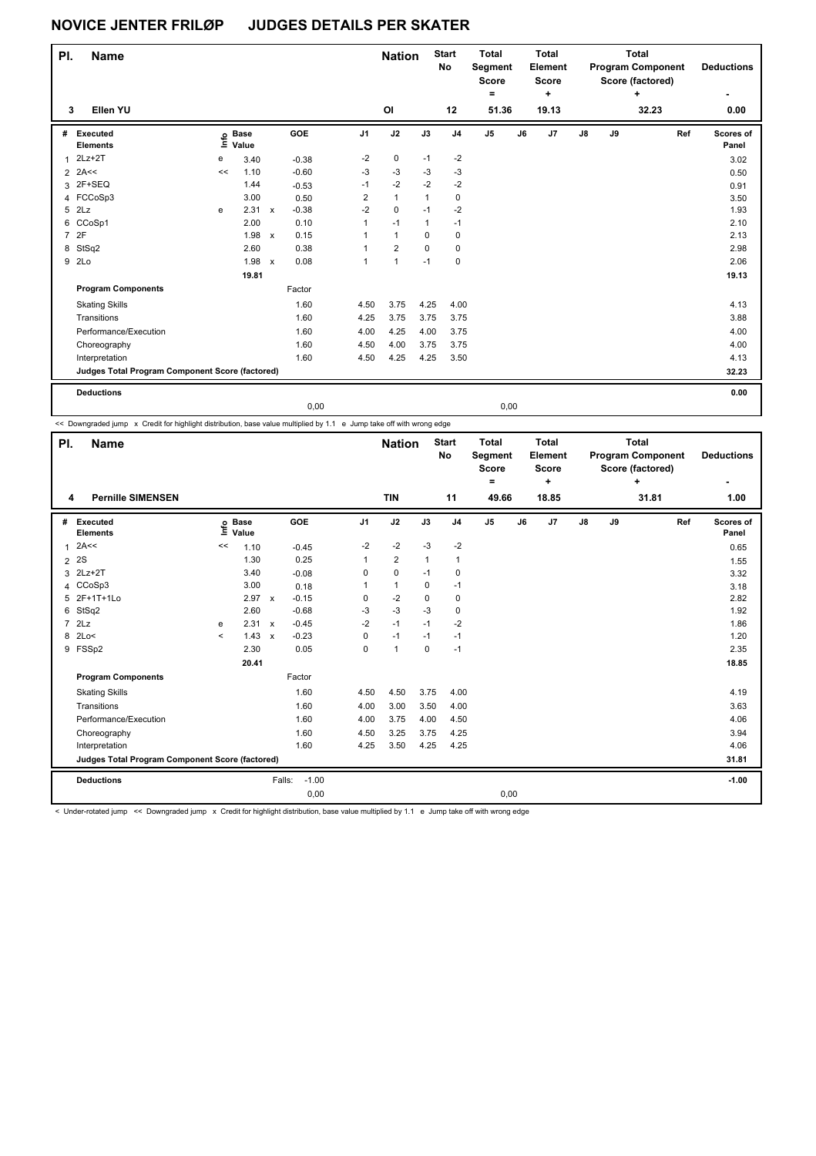| PI.          | <b>Name</b>                                     |    |                                  |              |         |                      | <b>Nation</b>  |              | <b>Start</b><br>No | <b>Total</b><br>Segment<br><b>Score</b><br>۰ |      | <b>Total</b><br><b>Element</b><br><b>Score</b><br>÷ |    |    | <b>Total</b><br><b>Program Component</b><br>Score (factored)<br>÷ | <b>Deductions</b><br>٠ |
|--------------|-------------------------------------------------|----|----------------------------------|--------------|---------|----------------------|----------------|--------------|--------------------|----------------------------------------------|------|-----------------------------------------------------|----|----|-------------------------------------------------------------------|------------------------|
| 3            | Ellen YU                                        |    |                                  |              |         |                      | OI             |              | 12                 | 51.36                                        |      | 19.13                                               |    |    | 32.23                                                             | 0.00                   |
| #            | Executed<br><b>Elements</b>                     |    | <b>Base</b><br>e Base<br>E Value |              | GOE     | J <sub>1</sub>       | J2             | J3           | J <sub>4</sub>     | J5                                           | J6   | J7                                                  | J8 | J9 | Ref                                                               | Scores of<br>Panel     |
| $\mathbf{1}$ | $2Lz + 2T$                                      | е  | 3.40                             |              | $-0.38$ | $-2$                 | 0              | $-1$         | $-2$               |                                              |      |                                                     |    |    |                                                                   | 3.02                   |
|              | $2$ 2A <<                                       | << | 1.10                             |              | $-0.60$ | $-3$                 | $-3$           | $-3$         | $-3$               |                                              |      |                                                     |    |    |                                                                   | 0.50                   |
|              | 3 2F+SEQ                                        |    | 1.44                             |              | $-0.53$ | $-1$                 | $-2$           | $-2$         | $-2$               |                                              |      |                                                     |    |    |                                                                   | 0.91                   |
|              | 4 FCCoSp3                                       |    | 3.00                             |              | 0.50    | $\overline{2}$       | $\mathbf{1}$   | $\mathbf{1}$ | 0                  |                                              |      |                                                     |    |    |                                                                   | 3.50                   |
| 5            | 2Lz                                             | e  | 2.31                             | $\mathsf{x}$ | $-0.38$ | $-2$                 | 0              | $-1$         | $-2$               |                                              |      |                                                     |    |    |                                                                   | 1.93                   |
| 6            | CCoSp1                                          |    | 2.00                             |              | 0.10    | $\mathbf{1}$         | $-1$           | 1            | $-1$               |                                              |      |                                                     |    |    |                                                                   | 2.10                   |
|              | 7 2F                                            |    | 1.98                             | $\mathsf{x}$ | 0.15    | $\blacktriangleleft$ | $\mathbf{1}$   | 0            | 0                  |                                              |      |                                                     |    |    |                                                                   | 2.13                   |
| 8            | StSq2                                           |    | 2.60                             |              | 0.38    | $\mathbf{1}$         | $\overline{2}$ | $\mathbf 0$  | $\mathbf 0$        |                                              |      |                                                     |    |    |                                                                   | 2.98                   |
|              | 9 2Lo                                           |    | 1.98                             | $\mathsf{x}$ | 0.08    | $\blacktriangleleft$ | $\mathbf{1}$   | $-1$         | 0                  |                                              |      |                                                     |    |    |                                                                   | 2.06                   |
|              |                                                 |    | 19.81                            |              |         |                      |                |              |                    |                                              |      |                                                     |    |    |                                                                   | 19.13                  |
|              | <b>Program Components</b>                       |    |                                  |              | Factor  |                      |                |              |                    |                                              |      |                                                     |    |    |                                                                   |                        |
|              | <b>Skating Skills</b>                           |    |                                  |              | 1.60    | 4.50                 | 3.75           | 4.25         | 4.00               |                                              |      |                                                     |    |    |                                                                   | 4.13                   |
|              | Transitions                                     |    |                                  |              | 1.60    | 4.25                 | 3.75           | 3.75         | 3.75               |                                              |      |                                                     |    |    |                                                                   | 3.88                   |
|              | Performance/Execution                           |    |                                  |              | 1.60    | 4.00                 | 4.25           | 4.00         | 3.75               |                                              |      |                                                     |    |    |                                                                   | 4.00                   |
|              | Choreography                                    |    |                                  |              | 1.60    | 4.50                 | 4.00           | 3.75         | 3.75               |                                              |      |                                                     |    |    |                                                                   | 4.00                   |
|              | Interpretation                                  |    |                                  |              | 1.60    | 4.50                 | 4.25           | 4.25         | 3.50               |                                              |      |                                                     |    |    |                                                                   | 4.13                   |
|              | Judges Total Program Component Score (factored) |    |                                  |              |         |                      |                |              |                    |                                              |      |                                                     |    |    |                                                                   | 32.23                  |
|              | <b>Deductions</b>                               |    |                                  |              |         |                      |                |              |                    |                                              |      |                                                     |    |    |                                                                   | 0.00                   |
|              |                                                 |    |                                  |              | 0.00    |                      |                |              |                    |                                              | 0,00 |                                                     |    |    |                                                                   |                        |

<< Downgraded jump x Credit for highlight distribution, base value multiplied by 1.1 e Jump take off with wrong edge

 $\mathbf{I}$ 

| PI.            | <b>Name</b>                                     |                          |                      |              |         |                | <b>Nation</b>  |             | <b>Start</b><br>No | <b>Total</b><br>Segment<br><b>Score</b><br>۰ |    | <b>Total</b><br>Element<br><b>Score</b><br>÷ |    |    | <b>Total</b><br><b>Program Component</b><br>Score (factored)<br>÷ |     | <b>Deductions</b>  |
|----------------|-------------------------------------------------|--------------------------|----------------------|--------------|---------|----------------|----------------|-------------|--------------------|----------------------------------------------|----|----------------------------------------------|----|----|-------------------------------------------------------------------|-----|--------------------|
| 4              | <b>Pernille SIMENSEN</b>                        |                          |                      |              |         |                | <b>TIN</b>     |             | 11                 | 49.66                                        |    | 18.85                                        |    |    | 31.81                                                             |     | 1.00               |
| #              | Executed<br><b>Elements</b>                     | ١nf٥                     | <b>Base</b><br>Value |              | GOE     | J <sub>1</sub> | J2             | J3          | J <sub>4</sub>     | J5                                           | J6 | J7                                           | J8 | J9 |                                                                   | Ref | Scores of<br>Panel |
| $\mathbf{1}$   | 2A<<                                            | <<                       | 1.10                 |              | $-0.45$ | $-2$           | $-2$           | $-3$        | $-2$               |                                              |    |                                              |    |    |                                                                   |     | 0.65               |
| $\overline{2}$ | <b>2S</b>                                       |                          | 1.30                 |              | 0.25    | 1              | $\overline{2}$ | 1           | 1                  |                                              |    |                                              |    |    |                                                                   |     | 1.55               |
| 3              | $2Lz+2T$                                        |                          | 3.40                 |              | $-0.08$ | 0              | 0              | $-1$        | 0                  |                                              |    |                                              |    |    |                                                                   |     | 3.32               |
|                | 4 CCoSp3                                        |                          | 3.00                 |              | 0.18    | 1              | 1              | 0           | $-1$               |                                              |    |                                              |    |    |                                                                   |     | 3.18               |
|                | 5 2F+1T+1Lo                                     |                          | 2.97                 | $\mathsf{x}$ | $-0.15$ | 0              | $-2$           | 0           | $\mathbf 0$        |                                              |    |                                              |    |    |                                                                   |     | 2.82               |
| 6              | StSq2                                           |                          | 2.60                 |              | $-0.68$ | $-3$           | $-3$           | $-3$        | 0                  |                                              |    |                                              |    |    |                                                                   |     | 1.92               |
| $\overline{7}$ | 2Lz                                             | e                        | 2.31 x               |              | $-0.45$ | $-2$           | $-1$           | $-1$        | $-2$               |                                              |    |                                              |    |    |                                                                   |     | 1.86               |
| 8              | 2Lo<                                            | $\overline{\phantom{a}}$ | 1.43                 | $\mathsf{x}$ | $-0.23$ | 0              | $-1$           | $-1$        | $-1$               |                                              |    |                                              |    |    |                                                                   |     | 1.20               |
|                | 9 FSSp2                                         |                          | 2.30                 |              | 0.05    | 0              | $\mathbf{1}$   | $\mathbf 0$ | $-1$               |                                              |    |                                              |    |    |                                                                   |     | 2.35               |
|                |                                                 |                          | 20.41                |              |         |                |                |             |                    |                                              |    |                                              |    |    |                                                                   |     | 18.85              |
|                | <b>Program Components</b>                       |                          |                      |              | Factor  |                |                |             |                    |                                              |    |                                              |    |    |                                                                   |     |                    |
|                | <b>Skating Skills</b>                           |                          |                      |              | 1.60    | 4.50           | 4.50           | 3.75        | 4.00               |                                              |    |                                              |    |    |                                                                   |     | 4.19               |
|                | Transitions                                     |                          |                      |              | 1.60    | 4.00           | 3.00           | 3.50        | 4.00               |                                              |    |                                              |    |    |                                                                   |     | 3.63               |
|                | Performance/Execution                           |                          |                      |              | 1.60    | 4.00           | 3.75           | 4.00        | 4.50               |                                              |    |                                              |    |    |                                                                   |     | 4.06               |
|                | Choreography                                    |                          |                      |              | 1.60    | 4.50           | 3.25           | 3.75        | 4.25               |                                              |    |                                              |    |    |                                                                   |     | 3.94               |
|                | Interpretation                                  |                          |                      |              | 1.60    | 4.25           | 3.50           | 4.25        | 4.25               |                                              |    |                                              |    |    |                                                                   |     | 4.06               |
|                | Judges Total Program Component Score (factored) |                          |                      |              |         |                |                |             |                    |                                              |    |                                              |    |    |                                                                   |     | 31.81              |
|                | <b>Deductions</b>                               |                          |                      | Falls:       | $-1.00$ |                |                |             |                    |                                              |    |                                              |    |    |                                                                   |     | $-1.00$            |
|                |                                                 |                          |                      |              | 0,00    |                |                |             |                    | 0,00                                         |    |                                              |    |    |                                                                   |     |                    |

< Under-rotated jump << Downgraded jump x Credit for highlight distribution, base value multiplied by 1.1 e Jump take off with wrong edge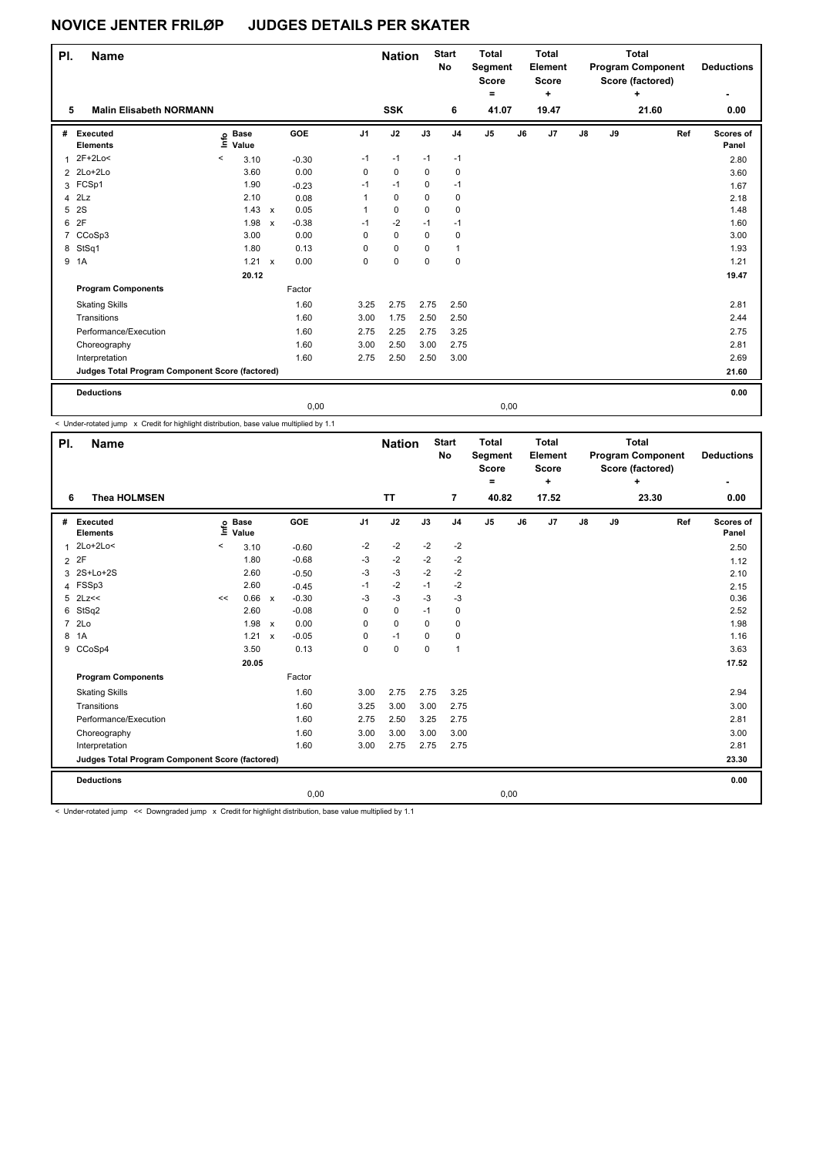| PI.          | <b>Name</b>                                     |                            |                           |         |                | <b>Nation</b> |             | <b>Start</b><br>No | <b>Total</b><br>Segment<br><b>Score</b><br>$\equiv$ |    | <b>Total</b><br><b>Element</b><br><b>Score</b><br>$\ddot{}$ |               |    | <b>Total</b><br><b>Program Component</b><br>Score (factored)<br>٠ | <b>Deductions</b>  |
|--------------|-------------------------------------------------|----------------------------|---------------------------|---------|----------------|---------------|-------------|--------------------|-----------------------------------------------------|----|-------------------------------------------------------------|---------------|----|-------------------------------------------------------------------|--------------------|
| 5            | <b>Malin Elisabeth NORMANN</b>                  |                            |                           |         |                | <b>SSK</b>    |             | 6                  | 41.07                                               |    | 19.47                                                       |               |    | 21.60                                                             | 0.00               |
| #            | Executed<br><b>Elements</b>                     | <b>Base</b><br>١m<br>Value |                           | GOE     | J <sub>1</sub> | J2            | J3          | J <sub>4</sub>     | J5                                                  | J6 | J <sub>7</sub>                                              | $\mathsf{J}8$ | J9 | Ref                                                               | Scores of<br>Panel |
| $\mathbf{1}$ | 2F+2Lo<                                         | $\,<\,$<br>3.10            |                           | $-0.30$ | $-1$           | $-1$          | $-1$        | $-1$               |                                                     |    |                                                             |               |    |                                                                   | 2.80               |
|              | 2 2Lo+2Lo                                       | 3.60                       |                           | 0.00    | 0              | $\mathbf 0$   | 0           | 0                  |                                                     |    |                                                             |               |    |                                                                   | 3.60               |
|              | 3 FCSp1                                         | 1.90                       |                           | $-0.23$ | $-1$           | $-1$          | 0           | $-1$               |                                                     |    |                                                             |               |    |                                                                   | 1.67               |
| 4            | 2Lz                                             | 2.10                       |                           | 0.08    | 1              | 0             | 0           | 0                  |                                                     |    |                                                             |               |    |                                                                   | 2.18               |
| 5            | 2S                                              | 1.43                       | $\boldsymbol{\mathsf{x}}$ | 0.05    | 1              | $\mathbf 0$   | $\Omega$    | 0                  |                                                     |    |                                                             |               |    |                                                                   | 1.48               |
| 6            | 2F                                              | 1.98                       | $\boldsymbol{\mathsf{x}}$ | $-0.38$ | $-1$           | $-2$          | $-1$        | $-1$               |                                                     |    |                                                             |               |    |                                                                   | 1.60               |
| 7            | CCoSp3                                          | 3.00                       |                           | 0.00    | $\Omega$       | $\mathbf 0$   | $\Omega$    | 0                  |                                                     |    |                                                             |               |    |                                                                   | 3.00               |
| 8            | StSq1                                           | 1.80                       |                           | 0.13    | 0              | $\mathbf 0$   | $\mathbf 0$ | 1                  |                                                     |    |                                                             |               |    |                                                                   | 1.93               |
|              | 9 1A                                            | 1.21                       | $\boldsymbol{\mathsf{x}}$ | 0.00    | 0              | $\mathbf 0$   | 0           | 0                  |                                                     |    |                                                             |               |    |                                                                   | 1.21               |
|              |                                                 | 20.12                      |                           |         |                |               |             |                    |                                                     |    |                                                             |               |    |                                                                   | 19.47              |
|              | <b>Program Components</b>                       |                            |                           | Factor  |                |               |             |                    |                                                     |    |                                                             |               |    |                                                                   |                    |
|              | <b>Skating Skills</b>                           |                            |                           | 1.60    | 3.25           | 2.75          | 2.75        | 2.50               |                                                     |    |                                                             |               |    |                                                                   | 2.81               |
|              | Transitions                                     |                            |                           | 1.60    | 3.00           | 1.75          | 2.50        | 2.50               |                                                     |    |                                                             |               |    |                                                                   | 2.44               |
|              | Performance/Execution                           |                            |                           | 1.60    | 2.75           | 2.25          | 2.75        | 3.25               |                                                     |    |                                                             |               |    |                                                                   | 2.75               |
|              | Choreography                                    |                            |                           | 1.60    | 3.00           | 2.50          | 3.00        | 2.75               |                                                     |    |                                                             |               |    |                                                                   | 2.81               |
|              | Interpretation                                  |                            |                           | 1.60    | 2.75           | 2.50          | 2.50        | 3.00               |                                                     |    |                                                             |               |    |                                                                   | 2.69               |
|              | Judges Total Program Component Score (factored) |                            |                           |         |                |               |             |                    |                                                     |    |                                                             |               |    |                                                                   | 21.60              |
|              | <b>Deductions</b>                               |                            |                           |         |                |               |             |                    |                                                     |    |                                                             |               |    |                                                                   | 0.00               |
|              |                                                 |                            |                           | 0.00    |                |               |             |                    | 0.00                                                |    |                                                             |               |    |                                                                   |                    |

< Under-rotated jump x Credit for highlight distribution, base value multiplied by 1.1

| <b>TT</b><br>17.52<br><b>Thea HOLMSEN</b><br>7<br>40.82<br>6                                                                                        | 23.30<br>0.00<br>Ref<br>Scores of<br>Panel<br>2.50<br>1.12 |
|-----------------------------------------------------------------------------------------------------------------------------------------------------|------------------------------------------------------------|
|                                                                                                                                                     |                                                            |
| GOE<br>J2<br>J5<br>J <sub>1</sub><br>J3<br>J7<br>J8<br>J9<br>Executed<br><b>Base</b><br>J <sub>4</sub><br>J6<br>#<br>۴ů<br>Value<br><b>Elements</b> |                                                            |
| $-2$<br>$-2$<br>$-2$<br>$2Lo+2Lo<$<br>-2<br>$\,<$<br>3.10<br>$-0.60$<br>$\mathbf{1}$                                                                |                                                            |
| 2F<br>$-2$<br>$-0.68$<br>$-3$<br>$-2$<br>$-2$<br>1.80<br>$\overline{2}$                                                                             |                                                            |
| 3 2S+Lo+2S<br>$-3$<br>$-2$<br>2.60<br>$-3$<br>$-2$<br>$-0.50$                                                                                       | 2.10                                                       |
| $-2$<br>4 FSSp3<br>$-1$<br>$-2$<br>2.60<br>$-1$<br>$-0.45$                                                                                          | 2.15                                                       |
| 5 2Lz<<<br>0.66<br>$-0.30$<br>$-3$<br>$-3$<br>-3<br>$-3$<br>$\mathsf{x}$<br><<                                                                      | 0.36                                                       |
| $-0.08$<br>6<br>StSq2<br>2.60<br>0<br>$-1$<br>0<br>0                                                                                                | 2.52                                                       |
| 2Lo<br>$\overline{7}$<br>1.98<br>0.00<br>$\mathbf 0$<br>$\mathbf 0$<br>0<br>0<br>$\mathbf{x}$                                                       | 1.98                                                       |
| 1.21<br>$-0.05$<br>8<br>1A<br>$-1$<br>0<br>0<br>0<br>$\mathbf{x}$                                                                                   | 1.16                                                       |
| CCoSp4<br>$\mathbf 0$<br>$\overline{1}$<br>3.50<br>0.13<br>0<br>0<br>9                                                                              | 3.63                                                       |
| 20.05                                                                                                                                               | 17.52                                                      |
| <b>Program Components</b><br>Factor                                                                                                                 |                                                            |
| 1.60<br>2.75<br>2.75<br>3.25<br><b>Skating Skills</b><br>3.00                                                                                       | 2.94                                                       |
| 3.00<br>Transitions<br>1.60<br>3.25<br>3.00<br>2.75                                                                                                 | 3.00                                                       |
| Performance/Execution<br>1.60<br>2.50<br>2.75<br>2.75<br>3.25                                                                                       | 2.81                                                       |
| 3.00<br>1.60<br>3.00<br>3.00<br>3.00<br>Choreography                                                                                                | 3.00                                                       |
| 1.60<br>2.75<br>Interpretation<br>3.00<br>2.75<br>2.75                                                                                              | 2.81                                                       |
| Judges Total Program Component Score (factored)                                                                                                     | 23.30                                                      |
| <b>Deductions</b>                                                                                                                                   | 0.00                                                       |
| 0,00<br>0,00                                                                                                                                        |                                                            |

< Under-rotated jump << Downgraded jump x Credit for highlight distribution, base value multiplied by 1.1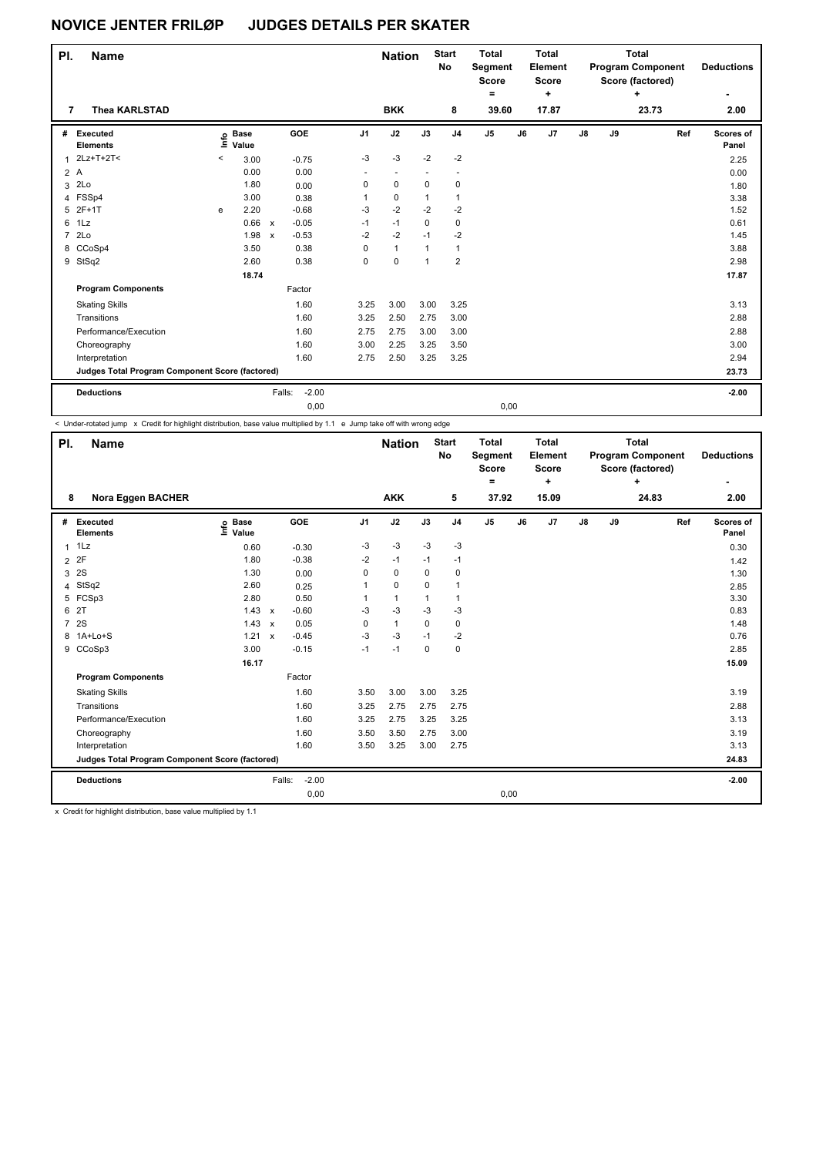| PI.            | <b>Name</b>                                     |         |                      |                           |                   |                | <b>Nation</b>            |              | <b>Start</b><br>No | <b>Total</b><br>Segment<br><b>Score</b><br>۰ |    | <b>Total</b><br>Element<br><b>Score</b><br>÷ |               |    | <b>Total</b><br><b>Program Component</b><br>Score (factored)<br>÷ |     | <b>Deductions</b><br>۰ |
|----------------|-------------------------------------------------|---------|----------------------|---------------------------|-------------------|----------------|--------------------------|--------------|--------------------|----------------------------------------------|----|----------------------------------------------|---------------|----|-------------------------------------------------------------------|-----|------------------------|
| 7              | <b>Thea KARLSTAD</b>                            |         |                      |                           |                   |                | <b>BKK</b>               |              | 8                  | 39.60                                        |    | 17.87                                        |               |    | 23.73                                                             |     | 2.00                   |
| #              | Executed<br><b>Elements</b>                     | ١m      | <b>Base</b><br>Value |                           | GOE               | J <sub>1</sub> | J2                       | J3           | J <sub>4</sub>     | J <sub>5</sub>                               | J6 | J <sub>7</sub>                               | $\mathsf{J}8$ | J9 |                                                                   | Ref | Scores of<br>Panel     |
| $\mathbf{1}$   | 2Lz+T+2T<                                       | $\,<\,$ | 3.00                 |                           | $-0.75$           | $-3$           | $-3$                     | $-2$         | $-2$               |                                              |    |                                              |               |    |                                                                   |     | 2.25                   |
|                | 2A                                              |         | 0.00                 |                           | 0.00              | $\sim$         | $\overline{\phantom{a}}$ |              |                    |                                              |    |                                              |               |    |                                                                   |     | 0.00                   |
| 3              | 2Lo                                             |         | 1.80                 |                           | 0.00              | 0              | $\mathbf 0$              | $\mathbf 0$  | 0                  |                                              |    |                                              |               |    |                                                                   |     | 1.80                   |
|                | 4 FSSp4                                         |         | 3.00                 |                           | 0.38              | 1              | 0                        | 1            | 1                  |                                              |    |                                              |               |    |                                                                   |     | 3.38                   |
| 5              | $2F+1T$                                         | e       | 2.20                 |                           | $-0.68$           | $-3$           | $-2$                     | $-2$         | $-2$               |                                              |    |                                              |               |    |                                                                   |     | 1.52                   |
| 6              | 1Lz                                             |         | 0.66                 | $\mathbf{x}$              | $-0.05$           | $-1$           | $-1$                     | 0            | 0                  |                                              |    |                                              |               |    |                                                                   |     | 0.61                   |
| $\overline{7}$ | 2Lo                                             |         | 1.98                 | $\boldsymbol{\mathsf{x}}$ | $-0.53$           | $-2$           | $-2$                     | $-1$         | $-2$               |                                              |    |                                              |               |    |                                                                   |     | 1.45                   |
| 8              | CCoSp4                                          |         | 3.50                 |                           | 0.38              | 0              | $\mathbf{1}$             | 1            | 1                  |                                              |    |                                              |               |    |                                                                   |     | 3.88                   |
|                | 9 StSq2                                         |         | 2.60                 |                           | 0.38              | 0              | $\mathbf 0$              | $\mathbf{1}$ | $\overline{2}$     |                                              |    |                                              |               |    |                                                                   |     | 2.98                   |
|                |                                                 |         | 18.74                |                           |                   |                |                          |              |                    |                                              |    |                                              |               |    |                                                                   |     | 17.87                  |
|                | <b>Program Components</b>                       |         |                      |                           | Factor            |                |                          |              |                    |                                              |    |                                              |               |    |                                                                   |     |                        |
|                | <b>Skating Skills</b>                           |         |                      |                           | 1.60              | 3.25           | 3.00                     | 3.00         | 3.25               |                                              |    |                                              |               |    |                                                                   |     | 3.13                   |
|                | Transitions                                     |         |                      |                           | 1.60              | 3.25           | 2.50                     | 2.75         | 3.00               |                                              |    |                                              |               |    |                                                                   |     | 2.88                   |
|                | Performance/Execution                           |         |                      |                           | 1.60              | 2.75           | 2.75                     | 3.00         | 3.00               |                                              |    |                                              |               |    |                                                                   |     | 2.88                   |
|                | Choreography                                    |         |                      |                           | 1.60              | 3.00           | 2.25                     | 3.25         | 3.50               |                                              |    |                                              |               |    |                                                                   |     | 3.00                   |
|                | Interpretation                                  |         |                      |                           | 1.60              | 2.75           | 2.50                     | 3.25         | 3.25               |                                              |    |                                              |               |    |                                                                   |     | 2.94                   |
|                | Judges Total Program Component Score (factored) |         |                      |                           |                   |                |                          |              |                    |                                              |    |                                              |               |    |                                                                   |     | 23.73                  |
|                | <b>Deductions</b>                               |         |                      |                           | $-2.00$<br>Falls: |                |                          |              |                    |                                              |    |                                              |               |    |                                                                   |     | $-2.00$                |
|                |                                                 |         |                      |                           | 0,00              |                |                          |              |                    | 0,00                                         |    |                                              |               |    |                                                                   |     |                        |

< Under-rotated jump x Credit for highlight distribution, base value multiplied by 1.1 e Jump take off with wrong edge

| PI.            | <b>Name</b>                                     |                              |                           |                   |                | <b>Nation</b> |             | <b>Start</b><br><b>No</b> | <b>Total</b><br>Segment<br><b>Score</b><br>۰ |    | <b>Total</b><br>Element<br><b>Score</b><br>٠ |               |    | <b>Total</b><br><b>Program Component</b><br>Score (factored)<br>÷ |     | <b>Deductions</b>  |
|----------------|-------------------------------------------------|------------------------------|---------------------------|-------------------|----------------|---------------|-------------|---------------------------|----------------------------------------------|----|----------------------------------------------|---------------|----|-------------------------------------------------------------------|-----|--------------------|
| 8              | Nora Eggen BACHER                               |                              |                           |                   |                | <b>AKK</b>    |             | 5                         | 37.92                                        |    | 15.09                                        |               |    | 24.83                                                             |     | 2.00               |
| #              | Executed<br><b>Elements</b>                     | <b>Base</b><br>١nf٥<br>Value |                           | GOE               | J <sub>1</sub> | J2            | J3          | J <sub>4</sub>            | J5                                           | J6 | J7                                           | $\mathsf{J}8$ | J9 |                                                                   | Ref | Scores of<br>Panel |
| $\mathbf{1}$   | 1Lz                                             | 0.60                         |                           | $-0.30$           | $-3$           | $-3$          | $-3$        | $-3$                      |                                              |    |                                              |               |    |                                                                   |     | 0.30               |
| $\overline{2}$ | 2F                                              | 1.80                         |                           | $-0.38$           | $-2$           | $-1$          | $-1$        | $-1$                      |                                              |    |                                              |               |    |                                                                   |     | 1.42               |
| 3              | 2S                                              | 1.30                         |                           | 0.00              | 0              | 0             | $\Omega$    | 0                         |                                              |    |                                              |               |    |                                                                   |     | 1.30               |
| 4              | StSq2                                           | 2.60                         |                           | 0.25              | $\mathbf{1}$   | $\Omega$      | $\Omega$    | $\mathbf{1}$              |                                              |    |                                              |               |    |                                                                   |     | 2.85               |
|                | 5 FCSp3                                         | 2.80                         |                           | 0.50              | 1              | $\mathbf{1}$  | 1           | $\mathbf{1}$              |                                              |    |                                              |               |    |                                                                   |     | 3.30               |
| 6              | 2T                                              | 1.43                         | $\boldsymbol{\mathsf{x}}$ | $-0.60$           | $-3$           | $-3$          | $-3$        | $-3$                      |                                              |    |                                              |               |    |                                                                   |     | 0.83               |
| $\overline{7}$ | 2S                                              | 1.43                         | $\boldsymbol{\mathsf{x}}$ | 0.05              | 0              | $\mathbf{1}$  | $\mathbf 0$ | $\mathbf 0$               |                                              |    |                                              |               |    |                                                                   |     | 1.48               |
|                | 8 1A+Lo+S                                       | 1.21                         | $\boldsymbol{\mathsf{x}}$ | $-0.45$           | $-3$           | $-3$          | $-1$        | $-2$                      |                                              |    |                                              |               |    |                                                                   |     | 0.76               |
|                | 9 CCoSp3                                        | 3.00                         |                           | $-0.15$           | $-1$           | $-1$          | $\mathbf 0$ | $\mathbf 0$               |                                              |    |                                              |               |    |                                                                   |     | 2.85               |
|                |                                                 | 16.17                        |                           |                   |                |               |             |                           |                                              |    |                                              |               |    |                                                                   |     | 15.09              |
|                | <b>Program Components</b>                       |                              |                           | Factor            |                |               |             |                           |                                              |    |                                              |               |    |                                                                   |     |                    |
|                | <b>Skating Skills</b>                           |                              |                           | 1.60              | 3.50           | 3.00          | 3.00        | 3.25                      |                                              |    |                                              |               |    |                                                                   |     | 3.19               |
|                | Transitions                                     |                              |                           | 1.60              | 3.25           | 2.75          | 2.75        | 2.75                      |                                              |    |                                              |               |    |                                                                   |     | 2.88               |
|                | Performance/Execution                           |                              |                           | 1.60              | 3.25           | 2.75          | 3.25        | 3.25                      |                                              |    |                                              |               |    |                                                                   |     | 3.13               |
|                | Choreography                                    |                              |                           | 1.60              | 3.50           | 3.50          | 2.75        | 3.00                      |                                              |    |                                              |               |    |                                                                   |     | 3.19               |
|                | Interpretation                                  |                              |                           | 1.60              | 3.50           | 3.25          | 3.00        | 2.75                      |                                              |    |                                              |               |    |                                                                   |     | 3.13               |
|                | Judges Total Program Component Score (factored) |                              |                           |                   |                |               |             |                           |                                              |    |                                              |               |    |                                                                   |     | 24.83              |
|                | <b>Deductions</b>                               |                              |                           | $-2.00$<br>Falls: |                |               |             |                           |                                              |    |                                              |               |    |                                                                   |     | $-2.00$            |
|                |                                                 |                              |                           | 0,00              |                |               |             |                           | 0,00                                         |    |                                              |               |    |                                                                   |     |                    |

x Credit for highlight distribution, base value multiplied by 1.1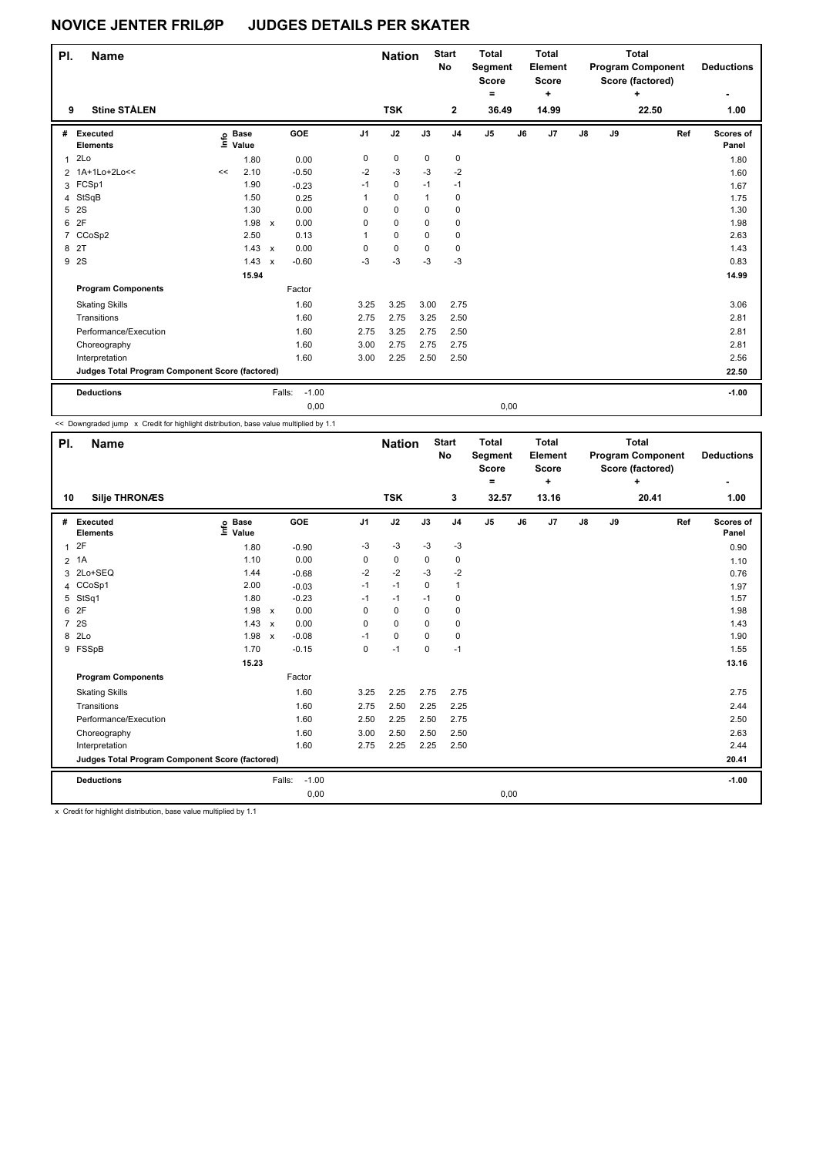| PI.          | <b>Name</b>                                     |                              |               |                                   |                | <b>Nation</b> |              | <b>Start</b><br><b>No</b> | <b>Total</b><br>Segment<br>Score<br>٠ |    | Total<br>Element<br>Score<br>$\ddot{}$ |               |    | <b>Total</b><br><b>Program Component</b><br>Score (factored)<br>÷ | <b>Deductions</b><br>۰ |
|--------------|-------------------------------------------------|------------------------------|---------------|-----------------------------------|----------------|---------------|--------------|---------------------------|---------------------------------------|----|----------------------------------------|---------------|----|-------------------------------------------------------------------|------------------------|
| 9            | <b>Stine STÅLEN</b>                             |                              |               |                                   |                | <b>TSK</b>    |              | $\mathbf{2}$              | 36.49                                 |    | 14.99                                  |               |    | 22.50                                                             | 1.00                   |
| #            | Executed<br><b>Elements</b>                     | <b>Base</b><br>١mfo<br>Value |               | GOE                               | J <sub>1</sub> | J2            | J3           | J <sub>4</sub>            | J <sub>5</sub>                        | J6 | J <sub>7</sub>                         | $\mathsf{J}8$ | J9 | Ref                                                               | Scores of<br>Panel     |
| $\mathbf{1}$ | 2Lo                                             | 1.80                         |               | 0.00                              | 0              | $\mathbf 0$   | 0            | 0                         |                                       |    |                                        |               |    |                                                                   | 1.80                   |
|              | 2 1A+1Lo+2Lo<<                                  | 2.10<br><<                   |               | $-0.50$                           | $-2$           | $-3$          | $-3$         | $-2$                      |                                       |    |                                        |               |    |                                                                   | 1.60                   |
| 3            | FCSp1                                           | 1.90                         |               | $-0.23$                           | $-1$           | 0             | $-1$         | $-1$                      |                                       |    |                                        |               |    |                                                                   | 1.67                   |
| 4            | StSqB                                           | 1.50                         |               | 0.25                              | 1              | $\mathbf 0$   | $\mathbf{1}$ | 0                         |                                       |    |                                        |               |    |                                                                   | 1.75                   |
| 5            | 2S                                              | 1.30                         |               | 0.00                              | 0              | 0             | $\Omega$     | 0                         |                                       |    |                                        |               |    |                                                                   | 1.30                   |
| 6            | 2F                                              | 1.98                         |               | 0.00<br>$\boldsymbol{\mathsf{x}}$ | 0              | 0             | $\Omega$     | 0                         |                                       |    |                                        |               |    |                                                                   | 1.98                   |
| 7            | CCoSp2                                          | 2.50                         |               | 0.13                              |                | 0             | 0            | 0                         |                                       |    |                                        |               |    |                                                                   | 2.63                   |
| 8            | 2T                                              |                              | $1.43 \times$ | 0.00                              | 0              | $\mathbf 0$   | $\Omega$     | 0                         |                                       |    |                                        |               |    |                                                                   | 1.43                   |
| 9            | <b>2S</b>                                       | 1.43                         |               | $-0.60$<br>$\mathsf{x}$           | -3             | $-3$          | $-3$         | $-3$                      |                                       |    |                                        |               |    |                                                                   | 0.83                   |
|              |                                                 | 15.94                        |               |                                   |                |               |              |                           |                                       |    |                                        |               |    |                                                                   | 14.99                  |
|              | <b>Program Components</b>                       |                              |               | Factor                            |                |               |              |                           |                                       |    |                                        |               |    |                                                                   |                        |
|              | <b>Skating Skills</b>                           |                              |               | 1.60                              | 3.25           | 3.25          | 3.00         | 2.75                      |                                       |    |                                        |               |    |                                                                   | 3.06                   |
|              | Transitions                                     |                              |               | 1.60                              | 2.75           | 2.75          | 3.25         | 2.50                      |                                       |    |                                        |               |    |                                                                   | 2.81                   |
|              | Performance/Execution                           |                              |               | 1.60                              | 2.75           | 3.25          | 2.75         | 2.50                      |                                       |    |                                        |               |    |                                                                   | 2.81                   |
|              | Choreography                                    |                              |               | 1.60                              | 3.00           | 2.75          | 2.75         | 2.75                      |                                       |    |                                        |               |    |                                                                   | 2.81                   |
|              | Interpretation                                  |                              |               | 1.60                              | 3.00           | 2.25          | 2.50         | 2.50                      |                                       |    |                                        |               |    |                                                                   | 2.56                   |
|              | Judges Total Program Component Score (factored) |                              |               |                                   |                |               |              |                           |                                       |    |                                        |               |    |                                                                   | 22.50                  |
|              | <b>Deductions</b>                               |                              |               | $-1.00$<br>Falls:                 |                |               |              |                           |                                       |    |                                        |               |    |                                                                   | $-1.00$                |
|              |                                                 |                              |               | 0,00                              |                |               |              |                           | 0,00                                  |    |                                        |               |    |                                                                   |                        |

<< Downgraded jump x Credit for highlight distribution, base value multiplied by 1.1

| PI.            | <b>Name</b>                                     |                            |                           |                   |                | <b>Nation</b> |             | <b>Start</b><br>No | <b>Total</b><br>Segment<br><b>Score</b><br>۰ |    | <b>Total</b><br>Element<br><b>Score</b><br>÷ |    |    | <b>Total</b><br><b>Program Component</b><br>Score (factored)<br>÷ |     | <b>Deductions</b>  |
|----------------|-------------------------------------------------|----------------------------|---------------------------|-------------------|----------------|---------------|-------------|--------------------|----------------------------------------------|----|----------------------------------------------|----|----|-------------------------------------------------------------------|-----|--------------------|
| 10             | <b>Silje THRONÆS</b>                            |                            |                           |                   |                | <b>TSK</b>    |             | 3                  | 32.57                                        |    | 13.16                                        |    |    | 20.41                                                             |     | 1.00               |
| #              | <b>Executed</b><br><b>Elements</b>              | e Base<br>E Value<br>Value |                           | GOE               | J <sub>1</sub> | J2            | J3          | J <sub>4</sub>     | J5                                           | J6 | J7                                           | J8 | J9 |                                                                   | Ref | Scores of<br>Panel |
| $\mathbf{1}$   | 2F                                              | 1.80                       |                           | $-0.90$           | $-3$           | $-3$          | $-3$        | $-3$               |                                              |    |                                              |    |    |                                                                   |     | 0.90               |
| $\overline{2}$ | 1A                                              | 1.10                       |                           | 0.00              | 0              | $\mathbf 0$   | $\mathbf 0$ | $\mathbf 0$        |                                              |    |                                              |    |    |                                                                   |     | 1.10               |
| 3              | 2Lo+SEQ                                         | 1.44                       |                           | $-0.68$           | $-2$           | $-2$          | $-3$        | $-2$               |                                              |    |                                              |    |    |                                                                   |     | 0.76               |
| 4              | CCoSp1                                          | 2.00                       |                           | $-0.03$           | $-1$           | $-1$          | $\mathbf 0$ | $\mathbf{1}$       |                                              |    |                                              |    |    |                                                                   |     | 1.97               |
| 5              | StSq1                                           | 1.80                       |                           | $-0.23$           | $-1$           | $-1$          | $-1$        | 0                  |                                              |    |                                              |    |    |                                                                   |     | 1.57               |
| 6              | 2F                                              | 1.98                       | $\mathsf{x}$              | 0.00              | 0              | $\mathbf 0$   | 0           | 0                  |                                              |    |                                              |    |    |                                                                   |     | 1.98               |
| $\overline{7}$ | 2S                                              | 1.43                       | $\mathsf{x}$              | 0.00              | 0              | $\mathbf 0$   | 0           | 0                  |                                              |    |                                              |    |    |                                                                   |     | 1.43               |
| 8              | 2Lo                                             | 1.98                       | $\boldsymbol{\mathsf{x}}$ | $-0.08$           | $-1$           | $\mathbf 0$   | $\mathbf 0$ | $\mathbf 0$        |                                              |    |                                              |    |    |                                                                   |     | 1.90               |
|                | 9 FSSpB                                         | 1.70                       |                           | $-0.15$           | 0              | $-1$          | 0           | $-1$               |                                              |    |                                              |    |    |                                                                   |     | 1.55               |
|                |                                                 | 15.23                      |                           |                   |                |               |             |                    |                                              |    |                                              |    |    |                                                                   |     | 13.16              |
|                | <b>Program Components</b>                       |                            |                           | Factor            |                |               |             |                    |                                              |    |                                              |    |    |                                                                   |     |                    |
|                | <b>Skating Skills</b>                           |                            |                           | 1.60              | 3.25           | 2.25          | 2.75        | 2.75               |                                              |    |                                              |    |    |                                                                   |     | 2.75               |
|                | Transitions                                     |                            |                           | 1.60              | 2.75           | 2.50          | 2.25        | 2.25               |                                              |    |                                              |    |    |                                                                   |     | 2.44               |
|                | Performance/Execution                           |                            |                           | 1.60              | 2.50           | 2.25          | 2.50        | 2.75               |                                              |    |                                              |    |    |                                                                   |     | 2.50               |
|                | Choreography                                    |                            |                           | 1.60              | 3.00           | 2.50          | 2.50        | 2.50               |                                              |    |                                              |    |    |                                                                   |     | 2.63               |
|                | Interpretation                                  |                            |                           | 1.60              | 2.75           | 2.25          | 2.25        | 2.50               |                                              |    |                                              |    |    |                                                                   |     | 2.44               |
|                | Judges Total Program Component Score (factored) |                            |                           |                   |                |               |             |                    |                                              |    |                                              |    |    |                                                                   |     | 20.41              |
|                | <b>Deductions</b>                               |                            |                           | $-1.00$<br>Falls: |                |               |             |                    |                                              |    |                                              |    |    |                                                                   |     | $-1.00$            |
|                |                                                 |                            |                           | 0,00              |                |               |             |                    | 0,00                                         |    |                                              |    |    |                                                                   |     |                    |

x Credit for highlight distribution, base value multiplied by 1.1